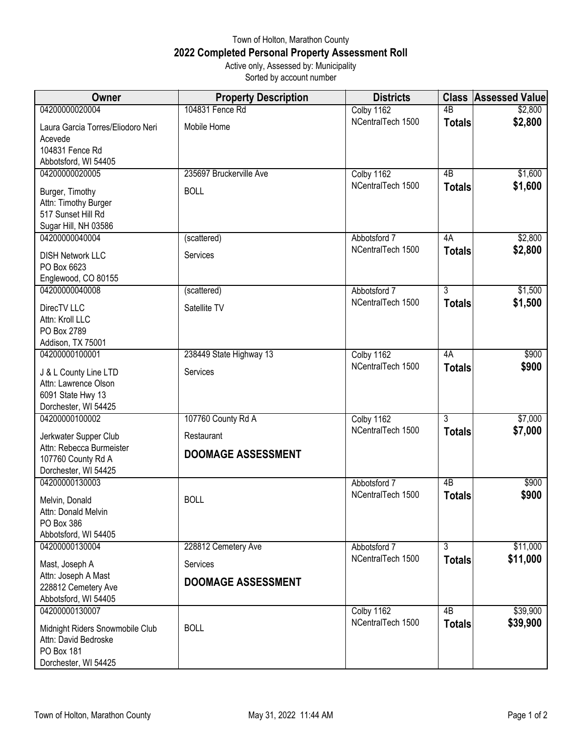## Town of Holton, Marathon County **2022 Completed Personal Property Assessment Roll** Active only, Assessed by: Municipality

Sorted by account number

| Owner                                                                                         | <b>Property Description</b> | <b>Districts</b>  | <b>Class</b>    | <b>Assessed Value</b> |
|-----------------------------------------------------------------------------------------------|-----------------------------|-------------------|-----------------|-----------------------|
| 04200000020004                                                                                | 104831 Fence Rd             | Colby 1162        | $\overline{AB}$ | \$2,800               |
| Laura Garcia Torres/Eliodoro Neri<br>Acevede                                                  | Mobile Home                 | NCentralTech 1500 | <b>Totals</b>   | \$2,800               |
| 104831 Fence Rd                                                                               |                             |                   |                 |                       |
| Abbotsford, WI 54405                                                                          |                             |                   |                 |                       |
| 04200000020005                                                                                | 235697 Bruckerville Ave     | Colby 1162        | $\overline{AB}$ | \$1,600               |
| Burger, Timothy<br>Attn: Timothy Burger<br>517 Sunset Hill Rd<br>Sugar Hill, NH 03586         | <b>BOLL</b>                 | NCentralTech 1500 | <b>Totals</b>   | \$1,600               |
| 04200000040004                                                                                | (scattered)                 | Abbotsford 7      | 4A              | \$2,800               |
| <b>DISH Network LLC</b><br>PO Box 6623<br>Englewood, CO 80155                                 | Services                    | NCentralTech 1500 | <b>Totals</b>   | \$2,800               |
| 04200000040008                                                                                | (scattered)                 | Abbotsford 7      | $\overline{3}$  | \$1,500               |
| DirecTV LLC<br>Attn: Kroll LLC<br>PO Box 2789                                                 | Satellite TV                | NCentralTech 1500 | <b>Totals</b>   | \$1,500               |
| Addison, TX 75001<br>04200000100001                                                           | 238449 State Highway 13     | Colby 1162        | 4A              | \$900                 |
|                                                                                               |                             | NCentralTech 1500 | <b>Totals</b>   | \$900                 |
| J & L County Line LTD<br>Attn: Lawrence Olson<br>6091 State Hwy 13<br>Dorchester, WI 54425    | Services                    |                   |                 |                       |
| 04200000100002                                                                                | 107760 County Rd A          | Colby 1162        | 3               | \$7,000               |
| Jerkwater Supper Club                                                                         | Restaurant                  | NCentralTech 1500 | <b>Totals</b>   | \$7,000               |
| Attn: Rebecca Burmeister<br>107760 County Rd A<br>Dorchester, WI 54425                        | <b>DOOMAGE ASSESSMENT</b>   |                   |                 |                       |
| 04200000130003                                                                                |                             | Abbotsford 7      | $\overline{AB}$ | \$900                 |
| Melvin, Donald<br>Attn: Donald Melvin<br>PO Box 386<br>Abbotsford, WI 54405                   | <b>BOLL</b>                 | NCentralTech 1500 | <b>Totals</b>   | \$900                 |
| 04200000130004                                                                                | 228812 Cemetery Ave         | Abbotsford 7      | $\overline{3}$  | \$11,000              |
| Mast, Joseph A<br>Attn: Joseph A Mast                                                         | Services                    | NCentralTech 1500 | <b>Totals</b>   | \$11,000              |
| 228812 Cemetery Ave<br>Abbotsford, WI 54405                                                   | <b>DOOMAGE ASSESSMENT</b>   |                   |                 |                       |
| 04200000130007                                                                                |                             | Colby 1162        | 4B              | \$39,900              |
| Midnight Riders Snowmobile Club<br>Attn: David Bedroske<br>PO Box 181<br>Dorchester, WI 54425 | <b>BOLL</b>                 | NCentralTech 1500 | <b>Totals</b>   | \$39,900              |